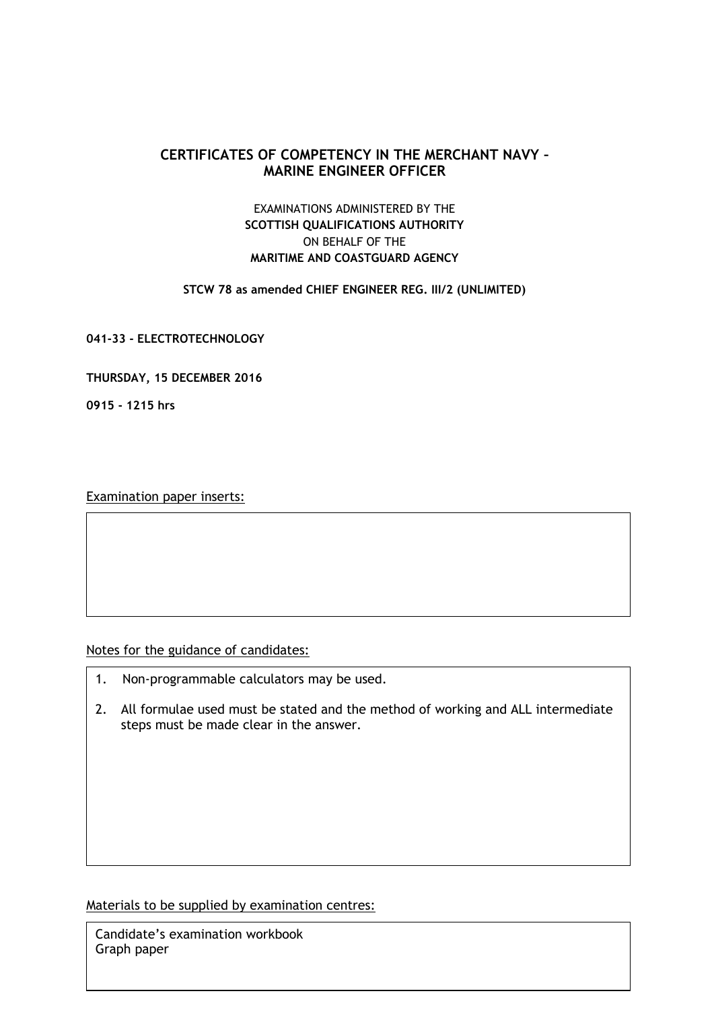## **CERTIFICATES OF COMPETENCY IN THE MERCHANT NAVY – MARINE ENGINEER OFFICER**

## EXAMINATIONS ADMINISTERED BY THE **SCOTTISH QUALIFICATIONS AUTHORITY** ON BEHALF OF THE **MARITIME AND COASTGUARD AGENCY**

**STCW 78 as amended CHIEF ENGINEER REG. III/2 (UNLIMITED)**

**041-33 - ELECTROTECHNOLOGY**

**THURSDAY, 15 DECEMBER 2016**

**0915 - 1215 hrs**

Examination paper inserts:

Notes for the guidance of candidates:

- 1. Non-programmable calculators may be used.
- 2. All formulae used must be stated and the method of working and ALL intermediate steps must be made clear in the answer.

Materials to be supplied by examination centres:

Candidate's examination workbook Graph paper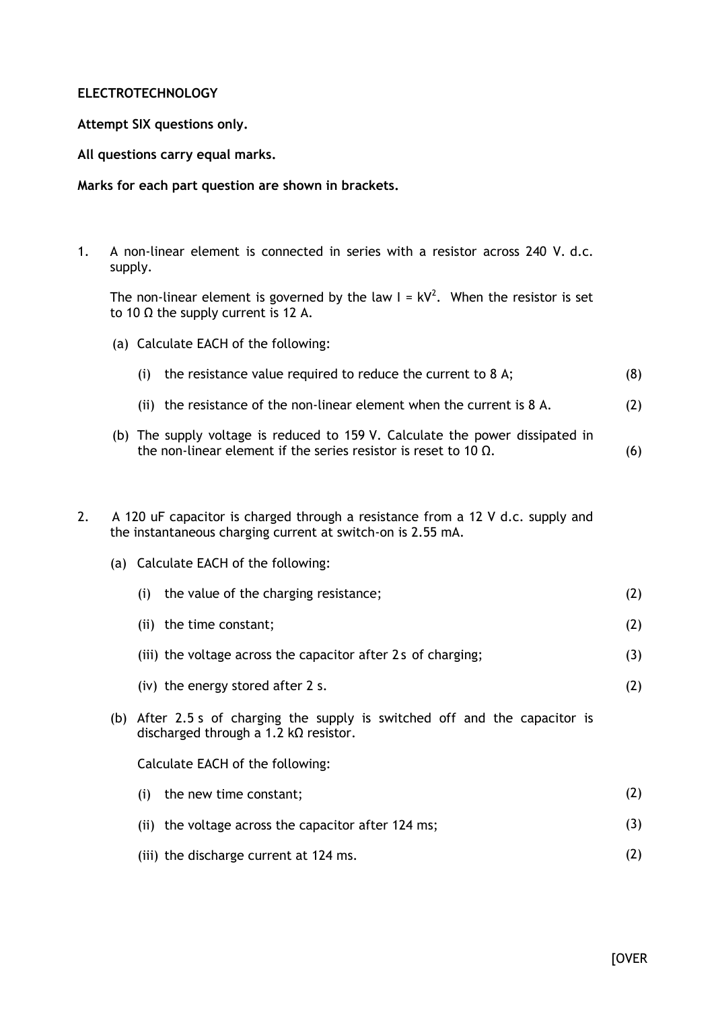## **ELECTROTECHNOLOGY**

**Attempt SIX questions only.**

**All questions carry equal marks.**

**Marks for each part question are shown in brackets.**

1. A non-linear element is connected in series with a resistor across 240 V. d.c. supply.

The non-linear element is governed by the law  $I = kV^2$ . When the resistor is set to 10  $\Omega$  the supply current is 12 A.

(a) Calculate EACH of the following:

|  | (i) the resistance value required to reduce the current to $8 A$ ; |  |
|--|--------------------------------------------------------------------|--|
|--|--------------------------------------------------------------------|--|

- (ii) the resistance of the non-linear element when the current is 8 A. (2)
- (b) The supply voltage is reduced to 159 V. Calculate the power dissipated in the non-linear element if the series resistor is reset to 10  $\Omega$ . (6)
- 2. A 120 uF capacitor is charged through a resistance from a 12 V d.c. supply and the instantaneous charging current at switch-on is 2.55 mA.
	- (a) Calculate EACH of the following:

|                                                                                                                                | (i) the value of the charging resistance;<br>(ii) the time constant; |     |
|--------------------------------------------------------------------------------------------------------------------------------|----------------------------------------------------------------------|-----|
|                                                                                                                                |                                                                      |     |
|                                                                                                                                | (iii) the voltage across the capacitor after 2s of charging;         | (3) |
| (iv) the energy stored after 2 s.                                                                                              |                                                                      | (2) |
| After 2.5 s of charging the supply is switched off and the capacitor is<br>(b)<br>discharged through a 1.2 $k\Omega$ resistor. |                                                                      |     |
|                                                                                                                                | Calculate EACH of the following:<br>the new time constant;<br>(i)    |     |
|                                                                                                                                |                                                                      |     |
|                                                                                                                                | (ii) the voltage across the capacitor after 124 ms;                  | (3) |
|                                                                                                                                | (iii) the discharge current at 124 ms.                               |     |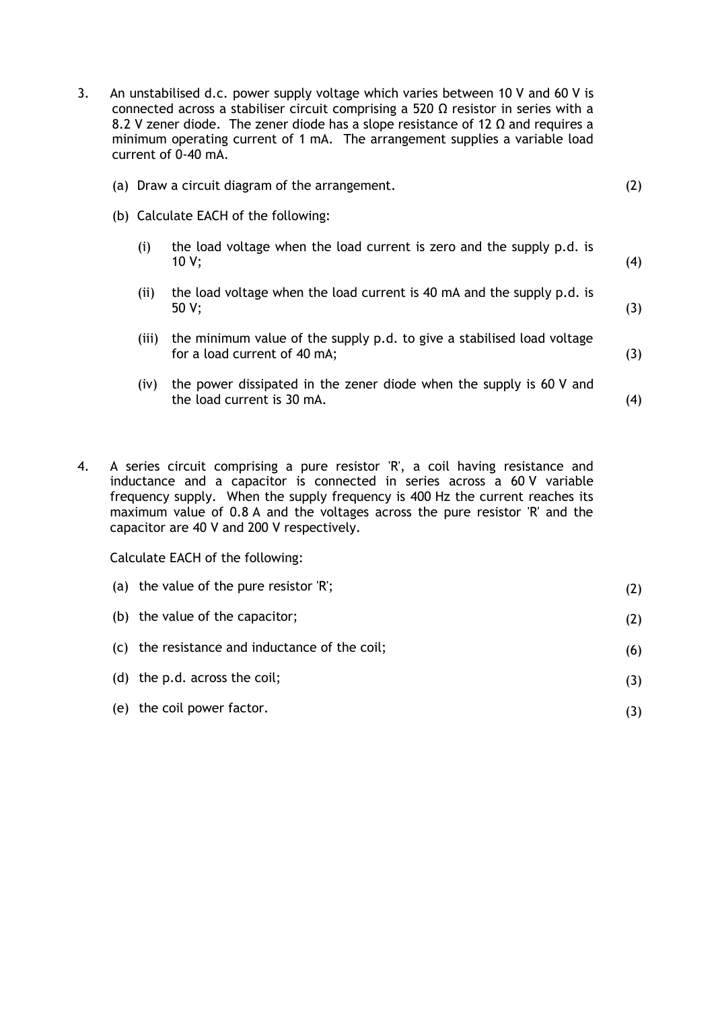- 3. An unstabilised d.c. power supply voltage which varies between 10 V and 60 V is connected across a stabiliser circuit comprising a 520  $\Omega$  resistor in series with a 8.2 V zener diode. The zener diode has a slope resistance of 12  $\Omega$  and requires a minimum operating current of 1 mA. The arrangement supplies a variable load current of 0-40 mA.
	- (a) Draw a circuit diagram of the arrangement. (2)
	- (b) Calculate EACH of the following:
		- (i) the load voltage when the load current is zero and the supply p.d. is 10 V;

(4)

(3)

- (ii) the load voltage when the load current is 40 mA and the supply p.d. is 50 V; (3)
- (iii) the minimum value of the supply p.d. to give a stabilised load voltage for a load current of 40 mA;
- (iv) the power dissipated in the zener diode when the supply is 60 V and the load current is 30 mA. (4)
- 4. A series circuit comprising a pure resistor 'R', a coil having resistance and inductance and a capacitor is connected in series across a 60 V variable frequency supply. When the supply frequency is 400 Hz the current reaches its maximum value of 0.8 A and the voltages across the pure resistor 'R' and the capacitor are 40 V and 200 V respectively.

Calculate EACH of the following:

| (a) the value of the pure resistor $'R$ ;      | (Z) |
|------------------------------------------------|-----|
| (b) the value of the capacitor;                | (2) |
| (c) the resistance and inductance of the coil; | (6) |
| (d) the $p.d.$ across the coil;                | (3) |
| (e) the coil power factor.                     |     |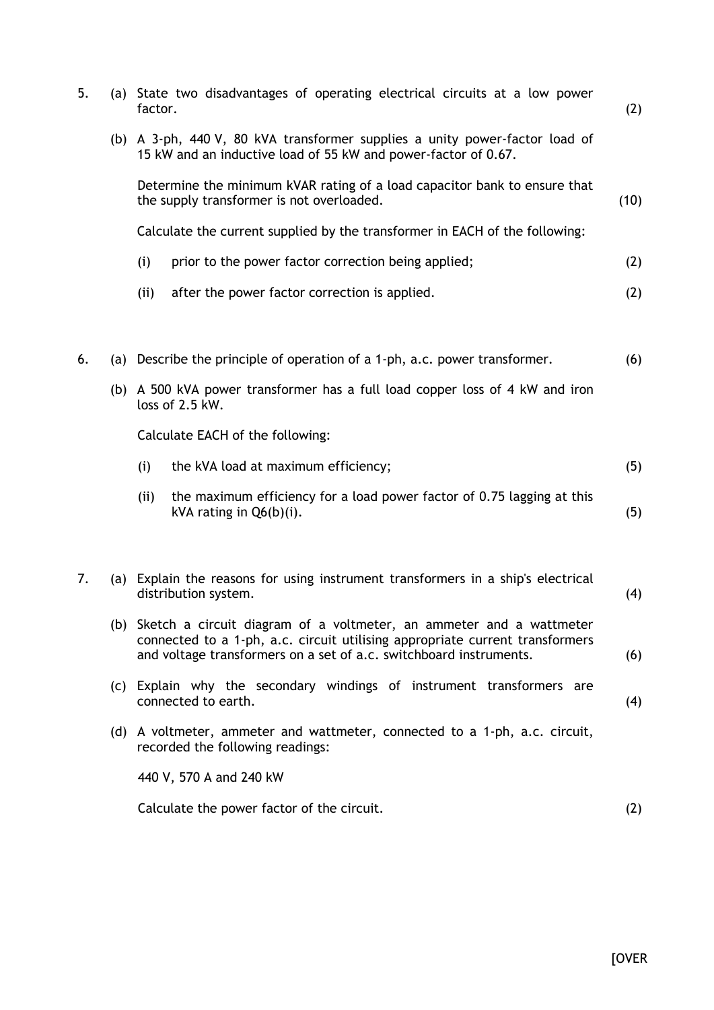| 5. |                                                                                                                                                                                                                               | (a) State two disadvantages of operating electrical circuits at a low power<br>factor.                                                        | (2)  |
|----|-------------------------------------------------------------------------------------------------------------------------------------------------------------------------------------------------------------------------------|-----------------------------------------------------------------------------------------------------------------------------------------------|------|
|    |                                                                                                                                                                                                                               | (b) A 3-ph, 440 V, 80 kVA transformer supplies a unity power-factor load of<br>15 kW and an inductive load of 55 kW and power-factor of 0.67. |      |
|    |                                                                                                                                                                                                                               | Determine the minimum kVAR rating of a load capacitor bank to ensure that<br>the supply transformer is not overloaded.                        | (10) |
|    |                                                                                                                                                                                                                               | Calculate the current supplied by the transformer in EACH of the following:                                                                   |      |
|    |                                                                                                                                                                                                                               | (i)<br>prior to the power factor correction being applied;                                                                                    | (2)  |
|    |                                                                                                                                                                                                                               | after the power factor correction is applied.<br>(ii)                                                                                         | (2)  |
| 6. |                                                                                                                                                                                                                               | (a) Describe the principle of operation of a 1-ph, a.c. power transformer.                                                                    | (6)  |
|    | (b) A 500 kVA power transformer has a full load copper loss of 4 kW and iron<br>loss of 2.5 kW.<br>Calculate EACH of the following:                                                                                           |                                                                                                                                               |      |
|    |                                                                                                                                                                                                                               |                                                                                                                                               |      |
|    |                                                                                                                                                                                                                               | (i)<br>the kVA load at maximum efficiency;                                                                                                    | (5)  |
|    |                                                                                                                                                                                                                               | the maximum efficiency for a load power factor of 0.75 lagging at this<br>(ii)<br>kVA rating in $Q6(b)(i)$ .                                  | (5)  |
| 7. | (a)                                                                                                                                                                                                                           | Explain the reasons for using instrument transformers in a ship's electrical<br>distribution system.                                          | (4)  |
|    | (b) Sketch a circuit diagram of a voltmeter, an ammeter and a wattmeter<br>connected to a 1-ph, a.c. circuit utilising appropriate current transformers<br>and voltage transformers on a set of a.c. switchboard instruments. |                                                                                                                                               | (6)  |
|    |                                                                                                                                                                                                                               | (c) Explain why the secondary windings of instrument transformers are<br>connected to earth.                                                  |      |
|    |                                                                                                                                                                                                                               | (d) A voltmeter, ammeter and wattmeter, connected to a 1-ph, a.c. circuit,<br>recorded the following readings:                                |      |
|    | 440 V, 570 A and 240 kW                                                                                                                                                                                                       |                                                                                                                                               |      |
|    |                                                                                                                                                                                                                               | Calculate the power factor of the circuit.                                                                                                    | (2)  |